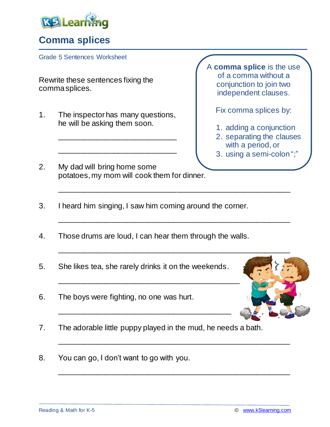

## **Comma splices**

Grade 5 Sentences Worksheet

Rewrite these sentences fixing the comma splices.

1. The inspector has many questions, he will be asking them soon.

A **comma splice** is the use of a comma without a conjunction to join two independent clauses.

Fix comma splices by:

- 1. adding a conjunction
- 2. separating the clauses with a period, or
- 3. using a semi-colon ";"
- 2. My dad will bring home some potatoes, my mom will cook them for dinner.

\_\_\_\_\_\_\_\_\_\_\_\_\_\_\_\_\_\_\_\_\_\_\_\_\_\_\_\_

\_\_\_\_\_\_\_\_\_\_\_\_\_\_\_\_\_\_\_\_\_\_\_\_\_\_\_\_

3. I heard him singing, I saw him coming around the corner.

\_\_\_\_\_\_\_\_\_\_\_\_\_\_\_\_\_\_\_\_\_\_\_\_\_\_\_\_\_\_\_\_\_\_\_\_\_\_\_\_\_\_\_\_\_\_\_\_\_\_\_\_\_\_\_

\_\_\_\_\_\_\_\_\_\_\_\_\_\_\_\_\_\_\_\_\_\_\_\_\_\_\_\_\_\_\_\_\_\_\_\_\_\_\_\_\_\_\_\_\_\_\_\_\_\_\_\_\_\_\_

\_\_\_\_\_\_\_\_\_\_\_\_\_\_\_\_\_\_\_\_\_\_\_\_\_\_\_\_\_\_\_\_\_\_\_\_\_\_\_\_\_\_\_\_\_\_\_\_\_\_\_\_\_\_\_

\_\_\_\_\_\_\_\_\_\_\_\_\_\_\_\_\_\_\_\_\_\_\_\_\_\_\_\_\_\_\_\_\_\_\_\_\_\_\_\_\_\_\_\_\_\_\_\_\_\_\_\_\_\_\_

- 4. Those drums are loud, I can hear them through the walls.
- 5. She likes tea, she rarely drinks it on the weekends.
- 6. The boys were fighting, no one was hurt.
- 7. The adorable little puppy played in the mud, he needs a bath.

\_\_\_\_\_\_\_\_\_\_\_\_\_\_\_\_\_\_\_\_\_\_\_\_\_\_\_\_\_\_\_\_\_\_\_\_\_\_\_\_\_

8. You can go, I don't want to go with you.